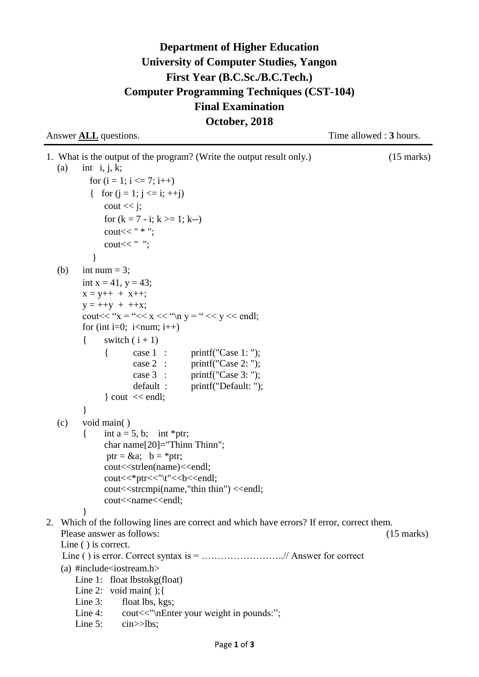## **Department of Higher Education University of Computer Studies, Yangon First Year (B.C.Sc./B.C.Tech.) Computer Programming Techniques (CST-104) Final Examination October, 2018**

| Answer <b>ALL</b> questions. |  |
|------------------------------|--|
|------------------------------|--|

Time allowed : **3** hours.

1. What is the output of the program? (Write the output result only.) (15 marks) (a) int i, j, k; for  $(i = 1; i \leq 7; i++)$ { for  $(i = 1; j \le i; ++j)$  $\text{cout} \ll i$ ; for  $(k = 7 - i; k >= 1; k-)$ cout  $<<$  " $*$ "; cout $<<$  ""; } (b) int num  $= 3$ ; int  $x = 41$ ,  $y = 43$ ;  $x = y++ + x++;$  $y = ++y + ++x;$ cout  $<<$  " $x =$  " $<<$   $x <<$  " $\ln y =$  " $<<$   $y <<$  endl: for (int i=0; i<num; i++) { switch  $(i + 1)$ { case 1 : printf("Case 1: "); case 2 : printf("Case 2: "); case 3 : printf("Case 3: "); default : printf("Default: ");  $\vert$  cout  $\vert \langle$  endl; } (c) void main( ) { int a = 5, b; int \*ptr; char name[20]="Thinn Thinn"; ptr =  $\&a$ ; b = \*ptr; cout<<strlen(name)<<endl; cout<<\*ptr<<"\t"<<br/><<br/>cout; cout<<strcmpi(name,"thin thin") <<endl; cout<<name<<endl; } 2. Which of the following lines are correct and which have errors? If error, correct them. Please answer as follows: (15 marks) Line ( ) is correct. Line ( ) is error. Correct syntax is = ……………………..// Answer for correct (a)  $\#include$   $\leq$   $\leq$   $\leq$   $\leq$   $\leq$   $\leq$   $\leq$   $\leq$   $\leq$   $\leq$   $\leq$   $\leq$   $\leq$   $\leq$   $\leq$   $\leq$   $\leq$   $\leq$   $\leq$   $\leq$   $\leq$   $\leq$   $\leq$   $\leq$   $\leq$   $\leq$   $\leq$   $\leq$   $\leq$   $\leq$   $\leq$   $\leq$   $\leq$   $\leq$   $\leq$  Line 1: float lbstokg(float) Line 2: void main(); { Line 3: float lbs, kgs; Line 4: cout<<"\nEnter your weight in pounds:"; Line 5: cin $>$ lbs;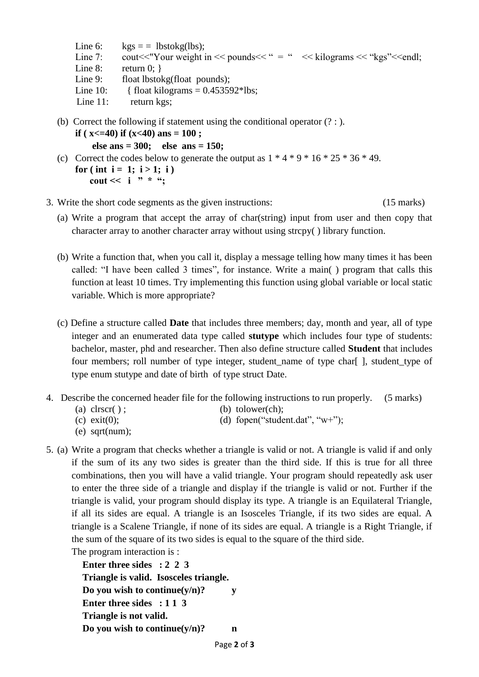- Line 6:  $kgs = 1bstokg(lbs);$ Line 7: cout << "Your weight in << pounds  $\langle$  "  $=$  "  $\langle$   $\langle$  kilograms  $\langle$  "kgs"  $\langle$  endl; Line  $8:$  return  $0:$  } Line 9: float lbstokg(float pounds); Line 10: { float kilograms =  $0.453592*$ lbs; Line 11: return kgs; (b) Correct the following if statement using the conditional operator (? : ).
- **if** ( $x \le 40$ ) **if** ( $x \le 40$ ) **ans** = 100 **;**

```
 else ans = 300; else ans = 150;
```
- (c) Correct the codes below to generate the output as  $1 * 4 * 9 * 16 * 25 * 36 * 49$ .  $for (int i = 1; i > 1; i)$  **cout << i " \* ";**
- 3. Write the short code segments as the given instructions: (15 marks)
	- (a) Write a program that accept the array of char(string) input from user and then copy that character array to another character array without using strcpy( ) library function.
	- (b) Write a function that, when you call it, display a message telling how many times it has been called: "I have been called 3 times", for instance. Write a main( ) program that calls this function at least 10 times. Try implementing this function using global variable or local static variable. Which is more appropriate?
	- (c) Define a structure called **Date** that includes three members; day, month and year, all of type integer and an enumerated data type called **stutype** which includes four type of students: bachelor, master, phd and researcher. Then also define structure called **Student** that includes four members; roll number of type integer, student\_name of type char[ ], student\_type of type enum stutype and date of birth of type struct Date.
- 4. Describe the concerned header file for the following instructions to run properly. (5 marks)
	- (a)  $\text{clrscr}(\ )$ ; (b) tolower(ch);
	- (c)  $ext{(0)}$ ; (d) form ("student.dat", "w+");
	- (e) sqrt(num);
- 5. (a) Write a program that checks whether a triangle is valid or not. A triangle is valid if and only if the sum of its any two sides is greater than the third side. If this is true for all three combinations, then you will have a valid triangle. Your program should repeatedly ask user to enter the three side of a triangle and display if the triangle is valid or not. Further if the triangle is valid, your program should display its type. A triangle is an Equilateral Triangle, if all its sides are equal. A triangle is an Isosceles Triangle, if its two sides are equal. A triangle is a Scalene Triangle, if none of its sides are equal. A triangle is a Right Triangle, if the sum of the square of its two sides is equal to the square of the third side. The program interaction is :

**Enter three sides : 2 2 3 Triangle is valid. Isosceles triangle. Do you wish to continue(y/n)? y Enter three sides : 1 1 3 Triangle is not valid. Do you wish to continue(y/n)? n**